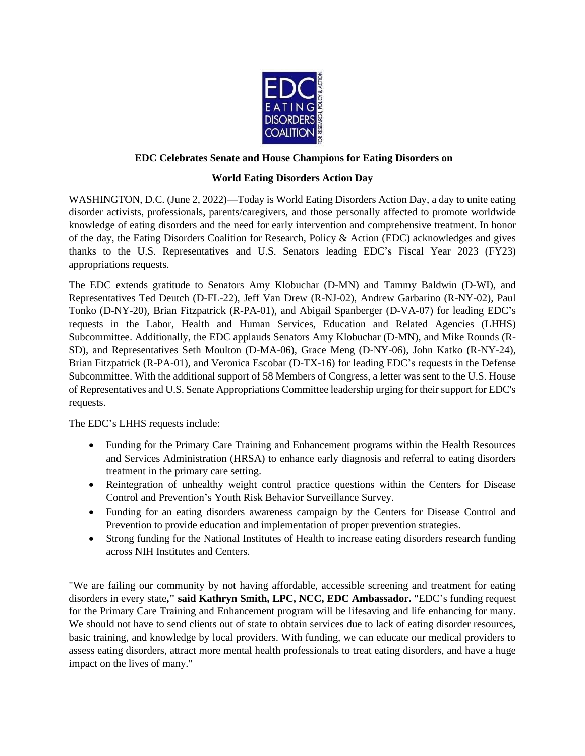

## **EDC Celebrates Senate and House Champions for Eating Disorders on**

## **World Eating Disorders Action Day**

WASHINGTON, D.C. (June 2, 2022)—Today is World Eating Disorders Action Day, a day to unite eating disorder activists, professionals, parents/caregivers, and those personally affected to promote worldwide knowledge of eating disorders and the need for early intervention and comprehensive treatment. In honor of the day, the Eating Disorders Coalition for Research, Policy & Action (EDC) acknowledges and gives thanks to the U.S. Representatives and U.S. Senators leading EDC's Fiscal Year 2023 (FY23) appropriations requests.

The EDC extends gratitude to Senators Amy Klobuchar (D-MN) and Tammy Baldwin (D-WI), and Representatives Ted Deutch (D-FL-22), Jeff Van Drew (R-NJ-02), Andrew Garbarino (R-NY-02), Paul Tonko (D-NY-20), Brian Fitzpatrick (R-PA-01), and Abigail Spanberger (D-VA-07) for leading EDC's requests in the Labor, Health and Human Services, Education and Related Agencies (LHHS) Subcommittee. Additionally, the EDC applauds Senators Amy Klobuchar (D-MN), and Mike Rounds (R-SD), and Representatives Seth Moulton (D-MA-06), Grace Meng (D-NY-06), John Katko (R-NY-24), Brian Fitzpatrick (R-PA-01), and Veronica Escobar (D-TX-16) for leading EDC's requests in the Defense Subcommittee. With the additional support of 58 Members of Congress, a letter was sent to the U.S. House of Representatives and U.S. Senate Appropriations Committee leadership urging for their support for EDC's requests.

The EDC's LHHS requests include:

- Funding for the Primary Care Training and Enhancement programs within the Health Resources and Services Administration (HRSA) to enhance early diagnosis and referral to eating disorders treatment in the primary care setting.
- Reintegration of unhealthy weight control practice questions within the Centers for Disease Control and Prevention's Youth Risk Behavior Surveillance Survey.
- Funding for an eating disorders awareness campaign by the Centers for Disease Control and Prevention to provide education and implementation of proper prevention strategies.
- Strong funding for the National Institutes of Health to increase eating disorders research funding across NIH Institutes and Centers.

"We are failing our community by not having affordable, accessible screening and treatment for eating disorders in every state**," said Kathryn Smith, LPC, NCC, EDC Ambassador.** "EDC's funding request for the Primary Care Training and Enhancement program will be lifesaving and life enhancing for many. We should not have to send clients out of state to obtain services due to lack of eating disorder resources, basic training, and knowledge by local providers. With funding, we can educate our medical providers to assess eating disorders, attract more mental health professionals to treat eating disorders, and have a huge impact on the lives of many."